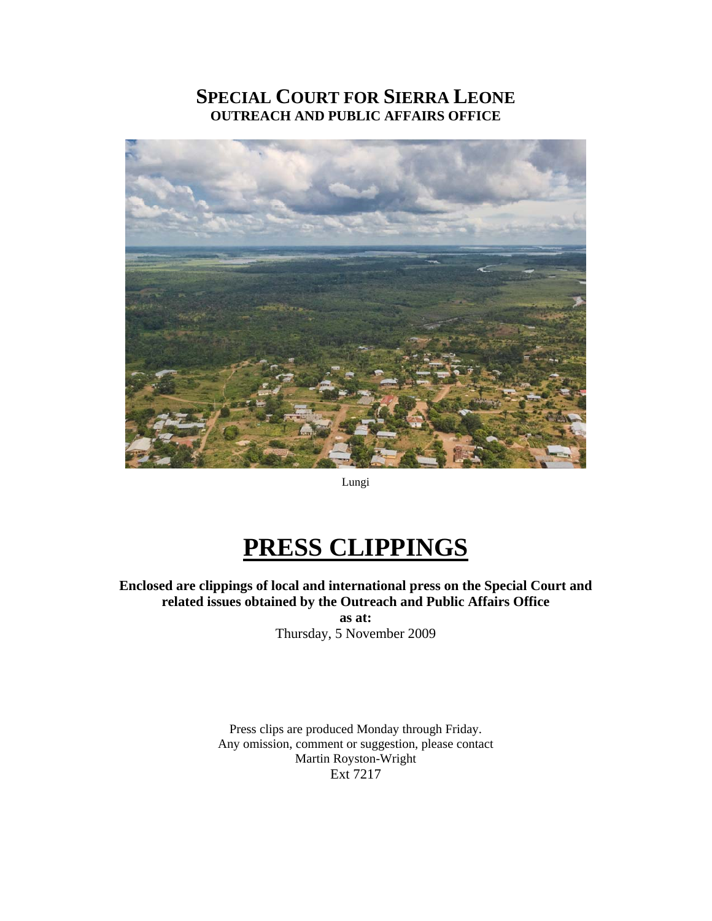# **SPECIAL COURT FOR SIERRA LEONE OUTREACH AND PUBLIC AFFAIRS OFFICE**



Lungi

# **PRESS CLIPPINGS**

**Enclosed are clippings of local and international press on the Special Court and related issues obtained by the Outreach and Public Affairs Office** 

**as at:**  Thursday, 5 November 2009

Press clips are produced Monday through Friday. Any omission, comment or suggestion, please contact Martin Royston-Wright Ext 7217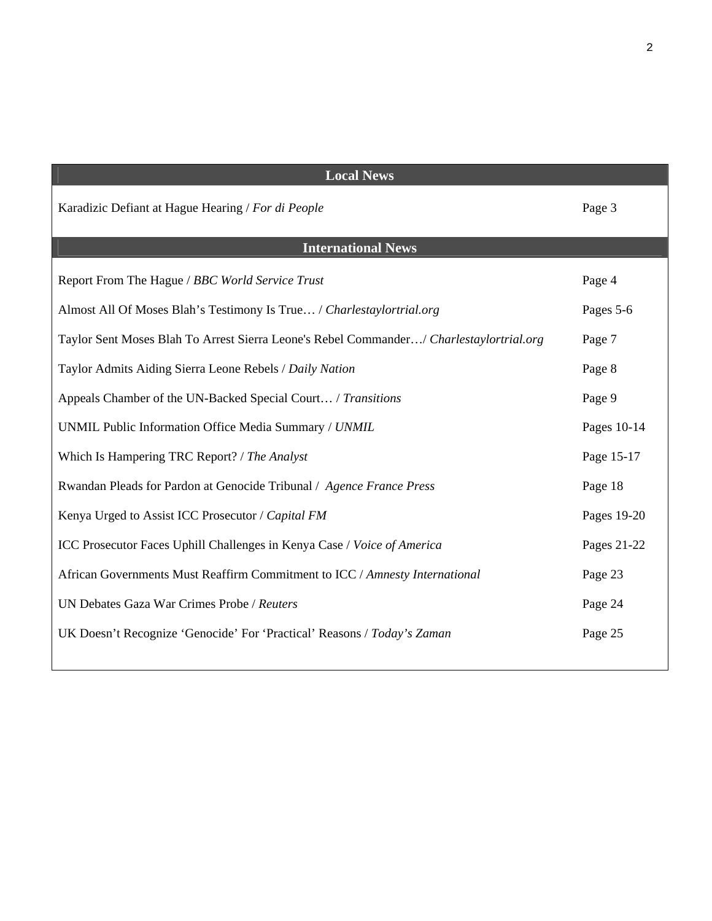| <b>Local News</b>                                                                       |             |  |
|-----------------------------------------------------------------------------------------|-------------|--|
| Karadizic Defiant at Hague Hearing / For di People                                      | Page 3      |  |
| <b>International News</b>                                                               |             |  |
| Report From The Hague / BBC World Service Trust                                         | Page 4      |  |
| Almost All Of Moses Blah's Testimony Is True / Charlestaylortrial.org                   | Pages 5-6   |  |
| Taylor Sent Moses Blah To Arrest Sierra Leone's Rebel Commander/ Charlestaylortrial.org | Page 7      |  |
| Taylor Admits Aiding Sierra Leone Rebels / Daily Nation                                 | Page 8      |  |
| Appeals Chamber of the UN-Backed Special Court / Transitions                            | Page 9      |  |
| UNMIL Public Information Office Media Summary / UNMIL                                   | Pages 10-14 |  |
| Which Is Hampering TRC Report? / The Analyst                                            | Page 15-17  |  |
| Rwandan Pleads for Pardon at Genocide Tribunal / Agence France Press                    | Page 18     |  |
| Kenya Urged to Assist ICC Prosecutor / Capital FM                                       | Pages 19-20 |  |
| ICC Prosecutor Faces Uphill Challenges in Kenya Case / Voice of America                 | Pages 21-22 |  |
| African Governments Must Reaffirm Commitment to ICC / Amnesty International             | Page 23     |  |
| UN Debates Gaza War Crimes Probe / Reuters                                              | Page 24     |  |
| UK Doesn't Recognize 'Genocide' For 'Practical' Reasons / Today's Zaman                 | Page 25     |  |

2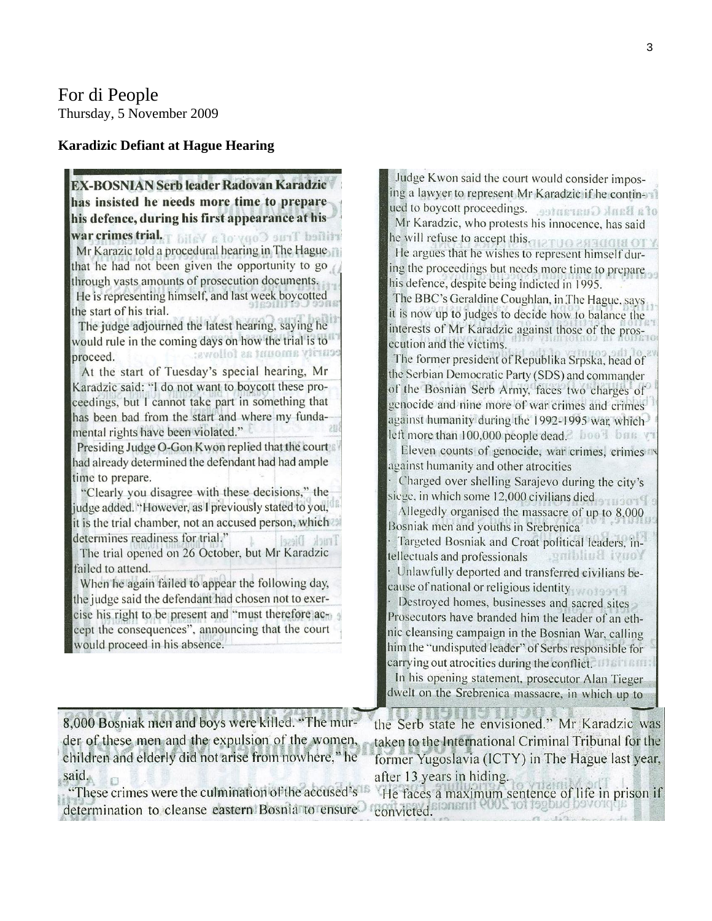#### **Karadizic Defiant at Hague Hearing**

**EX-BOSNIAN Serb leader Radovan Karadzic** has insisted he needs more time to prepare his defence, during his first appearance at his rtified True Copy of a Valid Tabin seminor was Mr Karazic told a procedural hearing in The Hague that he had not been given the opportunity to go through vasts amounts of prosecution documents. He is representing himself, and last week boycotted the start of his trial. The judge adjourned the latest hearing, saying he would rule in the coming days on how the trial is to curity amount as follows: proceed. At the start of Tuesday's special hearing, Mr Karadzic said: "I do not want to boycott these proceedings, but I cannot take part in something that has been bad from the start and where my fundamental rights have been violated." Presiding Judge O-Gon Kwon replied that the court had already determined the defendant had had ample time to prepare. "Clearly you disagree with these decisions," the judge added. "However, as I previously stated to you," it is the trial chamber, not an accused person, which determines readiness for trial." The trial opened on 26 October, but Mr Karadzic failed to attend. When he again failed to appear the following day, the judge said the defendant had chosen not to exercise his right to be present and "must therefore accept the consequences", announcing that the court would proceed in his absence.

Judge Kwon said the court would consider imposing a lawyer to represent Mr Karadzic if he continof a Bank Guarantee. seniboooch bou Mr Karadzic, who protests his innocence, has said he will refuse to accept this arguo association He argues that he wishes to represent himself during the proceedings but needs more time to prepare his defence, despite being indicted in 1995. The BBC's Geraldine Coughlan, in The Hague, says it is now up to judges to decide how to balance the interests of Mr Karadzic against those of the prosecution and the victims. The former president of Republika Srpska, head of the Serbian Democratic Party (SDS) and commander of the Bosnian Serb Army, faces two charges of genocide and nine more of war crimes and crimes against humanity during the 1992-1995 war, which left more than 100,000 people dead. hoo? bas y Eleven counts of genocide, war crimes, crimes in against humanity and other atrocities Charged over shelling Sarajevo during the city's siege, in which some 12,000 civilians died Allegedly organised the massacre of up to 8,000 Bosniak men and youths in Srebrenica Targeted Bosniak and Croat political leaders, intellectuals and professionals samping ivnox Unlawfully deported and transferred civilians because of national or religious identity Destroyed homes, businesses and sacred sites Prosecutors have branded him the leader of an ethnic cleansing campaign in the Bosnian War, calling him the "undisputed leader" of Serbs responsible for carrying out atrocities during the conflict. The means In his opening statement, prosecutor Alan Tieger dwelt on the Srebrenica massacre, in which up to

| 8,000 Bosniak men and boys were killed. "The mur-    | the Serb state he envisioned." Mr Karadzic was       |
|------------------------------------------------------|------------------------------------------------------|
| der of these men and the expulsion of the women,     | taken to the International Criminal Tribunal for the |
| children and elderly did not arise from nowhere," he | former Yugoslavia (ICTY) in The Hague last year,     |
| said.                                                | after 13 years in hiding.                            |
| "These crimes were the culmination of the accused's  | He faces a maximum sentence of life in prison if     |
| determination to cleanse eastern Bosnia to ensure    | convicted                                            |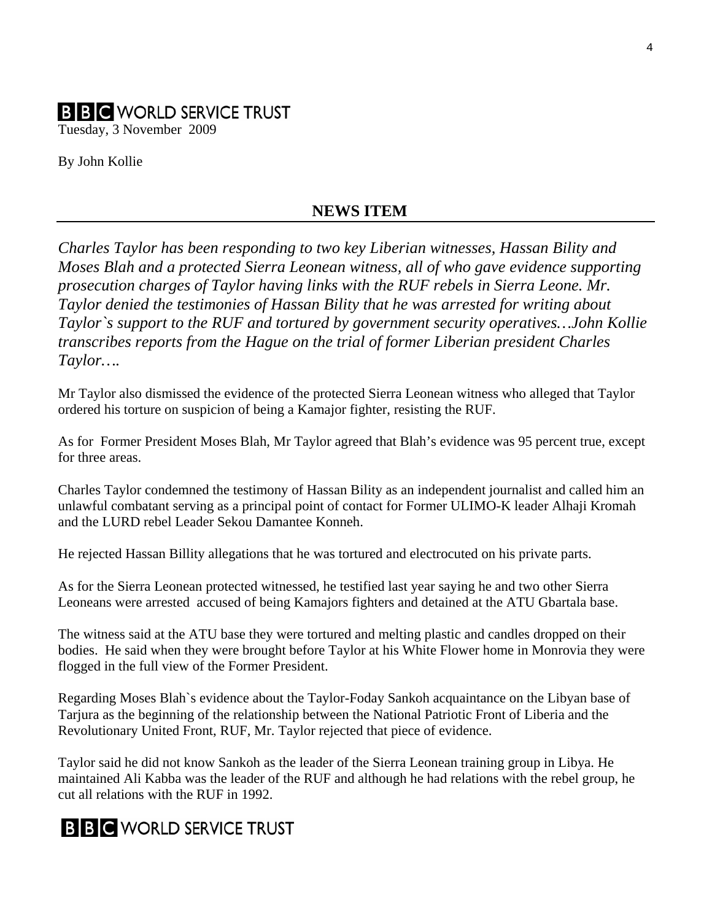# **B B C** WORLD SERVICE TRUST Tuesday, 3 November 2009

By John Kollie

#### **NEWS ITEM**

*Charles Taylor has been responding to two key Liberian witnesses, Hassan Bility and Moses Blah and a protected Sierra Leonean witness, all of who gave evidence supporting prosecution charges of Taylor having links with the RUF rebels in Sierra Leone. Mr. Taylor denied the testimonies of Hassan Bility that he was arrested for writing about Taylor`s support to the RUF and tortured by government security operatives…John Kollie transcribes reports from the Hague on the trial of former Liberian president Charles Taylor….* 

Mr Taylor also dismissed the evidence of the protected Sierra Leonean witness who alleged that Taylor ordered his torture on suspicion of being a Kamajor fighter, resisting the RUF.

As for Former President Moses Blah, Mr Taylor agreed that Blah's evidence was 95 percent true, except for three areas.

Charles Taylor condemned the testimony of Hassan Bility as an independent journalist and called him an unlawful combatant serving as a principal point of contact for Former ULIMO-K leader Alhaji Kromah and the LURD rebel Leader Sekou Damantee Konneh.

He rejected Hassan Billity allegations that he was tortured and electrocuted on his private parts.

As for the Sierra Leonean protected witnessed, he testified last year saying he and two other Sierra Leoneans were arrested accused of being Kamajors fighters and detained at the ATU Gbartala base.

The witness said at the ATU base they were tortured and melting plastic and candles dropped on their bodies. He said when they were brought before Taylor at his White Flower home in Monrovia they were flogged in the full view of the Former President.

Regarding Moses Blah`s evidence about the Taylor-Foday Sankoh acquaintance on the Libyan base of Tarjura as the beginning of the relationship between the National Patriotic Front of Liberia and the Revolutionary United Front, RUF, Mr. Taylor rejected that piece of evidence.

Taylor said he did not know Sankoh as the leader of the Sierra Leonean training group in Libya. He maintained Ali Kabba was the leader of the RUF and although he had relations with the rebel group, he cut all relations with the RUF in 1992.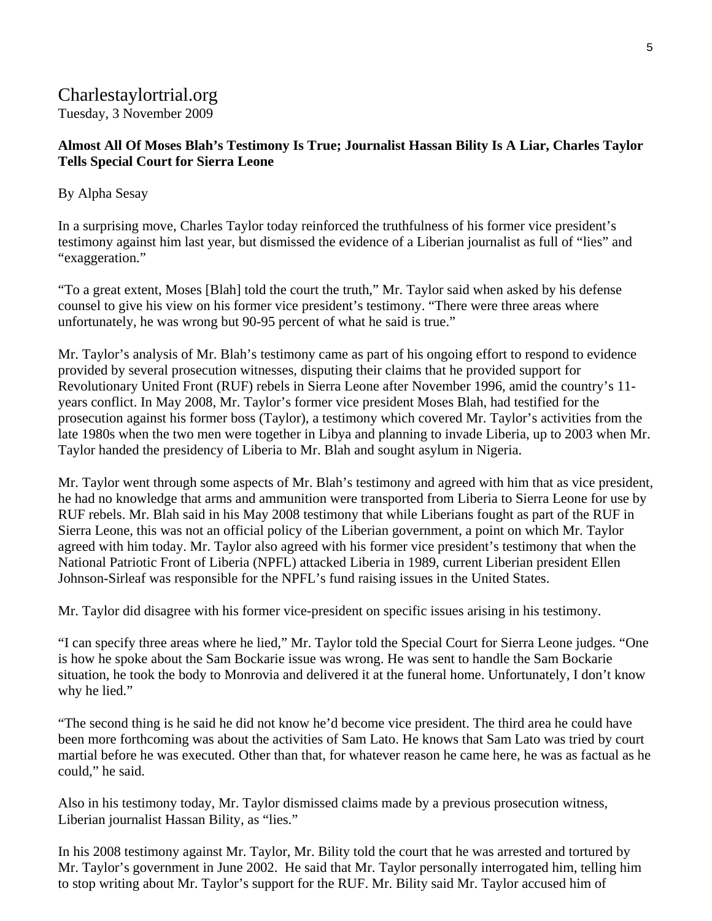# Charlestaylortrial.org

Tuesday, 3 November 2009

#### **Almost All Of Moses Blah's Testimony Is True; Journalist Hassan Bility Is A Liar, Charles Taylor Tells Special Court for Sierra Leone**

#### By Alpha Sesay

In a surprising move, Charles Taylor today reinforced the truthfulness of his former vice president's testimony against him last year, but dismissed the evidence of a Liberian journalist as full of "lies" and "exaggeration."

"To a great extent, Moses [Blah] told the court the truth," Mr. Taylor said when asked by his defense counsel to give his view on his former vice president's testimony. "There were three areas where unfortunately, he was wrong but 90-95 percent of what he said is true."

Mr. Taylor's analysis of Mr. Blah's testimony came as part of his ongoing effort to respond to evidence provided by several prosecution witnesses, disputing their claims that he provided support for Revolutionary United Front (RUF) rebels in Sierra Leone after November 1996, amid the country's 11 years conflict. In May 2008, Mr. Taylor's former vice president Moses Blah, had testified for the prosecution against his former boss (Taylor), a testimony which covered Mr. Taylor's activities from the late 1980s when the two men were together in Libya and planning to invade Liberia, up to 2003 when Mr. Taylor handed the presidency of Liberia to Mr. Blah and sought asylum in Nigeria.

Mr. Taylor went through some aspects of Mr. Blah's testimony and agreed with him that as vice president, he had no knowledge that arms and ammunition were transported from Liberia to Sierra Leone for use by RUF rebels. Mr. Blah said in his May 2008 testimony that while Liberians fought as part of the RUF in Sierra Leone, this was not an official policy of the Liberian government, a point on which Mr. Taylor agreed with him today. Mr. Taylor also agreed with his former vice president's testimony that when the National Patriotic Front of Liberia (NPFL) attacked Liberia in 1989, current Liberian president Ellen Johnson-Sirleaf was responsible for the NPFL's fund raising issues in the United States.

Mr. Taylor did disagree with his former vice-president on specific issues arising in his testimony.

"I can specify three areas where he lied," Mr. Taylor told the Special Court for Sierra Leone judges. "One is how he spoke about the Sam Bockarie issue was wrong. He was sent to handle the Sam Bockarie situation, he took the body to Monrovia and delivered it at the funeral home. Unfortunately, I don't know why he lied."

"The second thing is he said he did not know he'd become vice president. The third area he could have been more forthcoming was about the activities of Sam Lato. He knows that Sam Lato was tried by court martial before he was executed. Other than that, for whatever reason he came here, he was as factual as he could," he said.

Also in his testimony today, Mr. Taylor dismissed claims made by a previous prosecution witness, Liberian journalist Hassan Bility, as "lies."

In his 2008 testimony against Mr. Taylor, Mr. Bility told the court that he was arrested and tortured by Mr. Taylor's government in June 2002. He said that Mr. Taylor personally interrogated him, telling him to stop writing about Mr. Taylor's support for the RUF. Mr. Bility said Mr. Taylor accused him of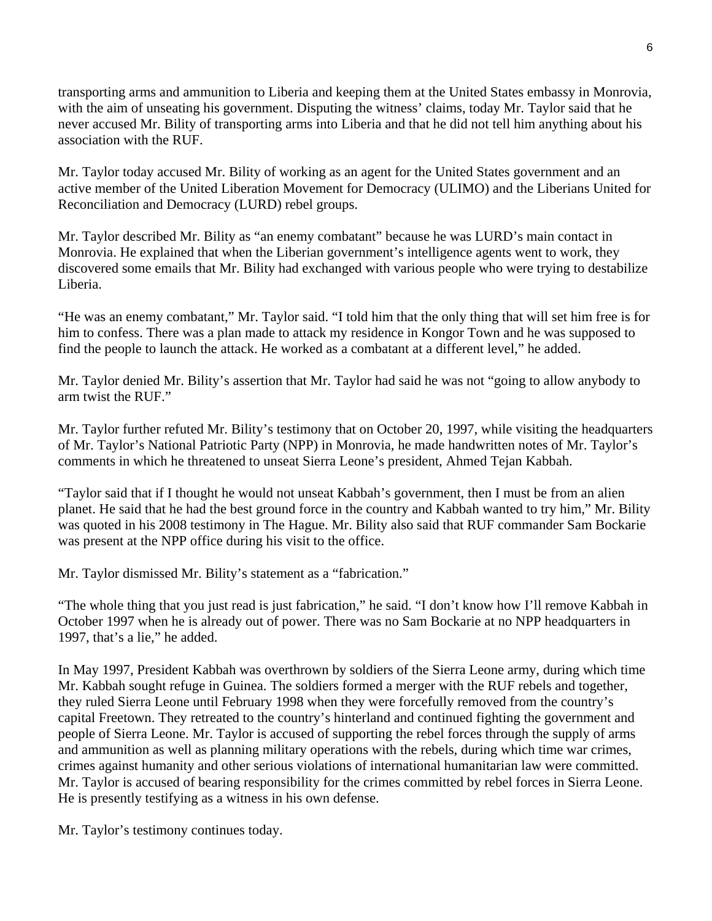transporting arms and ammunition to Liberia and keeping them at the United States embassy in Monrovia, with the aim of unseating his government. Disputing the witness' claims, today Mr. Taylor said that he never accused Mr. Bility of transporting arms into Liberia and that he did not tell him anything about his association with the RUF.

Mr. Taylor today accused Mr. Bility of working as an agent for the United States government and an active member of the United Liberation Movement for Democracy (ULIMO) and the Liberians United for Reconciliation and Democracy (LURD) rebel groups.

Mr. Taylor described Mr. Bility as "an enemy combatant" because he was LURD's main contact in Monrovia. He explained that when the Liberian government's intelligence agents went to work, they discovered some emails that Mr. Bility had exchanged with various people who were trying to destabilize Liberia.

"He was an enemy combatant," Mr. Taylor said. "I told him that the only thing that will set him free is for him to confess. There was a plan made to attack my residence in Kongor Town and he was supposed to find the people to launch the attack. He worked as a combatant at a different level," he added.

Mr. Taylor denied Mr. Bility's assertion that Mr. Taylor had said he was not "going to allow anybody to arm twist the RUF."

Mr. Taylor further refuted Mr. Bility's testimony that on October 20, 1997, while visiting the headquarters of Mr. Taylor's National Patriotic Party (NPP) in Monrovia, he made handwritten notes of Mr. Taylor's comments in which he threatened to unseat Sierra Leone's president, Ahmed Tejan Kabbah.

"Taylor said that if I thought he would not unseat Kabbah's government, then I must be from an alien planet. He said that he had the best ground force in the country and Kabbah wanted to try him," Mr. Bility was quoted in his 2008 testimony in The Hague. Mr. Bility also said that RUF commander Sam Bockarie was present at the NPP office during his visit to the office.

Mr. Taylor dismissed Mr. Bility's statement as a "fabrication."

"The whole thing that you just read is just fabrication," he said. "I don't know how I'll remove Kabbah in October 1997 when he is already out of power. There was no Sam Bockarie at no NPP headquarters in 1997, that's a lie," he added.

In May 1997, President Kabbah was overthrown by soldiers of the Sierra Leone army, during which time Mr. Kabbah sought refuge in Guinea. The soldiers formed a merger with the RUF rebels and together, they ruled Sierra Leone until February 1998 when they were forcefully removed from the country's capital Freetown. They retreated to the country's hinterland and continued fighting the government and people of Sierra Leone. Mr. Taylor is accused of supporting the rebel forces through the supply of arms and ammunition as well as planning military operations with the rebels, during which time war crimes, crimes against humanity and other serious violations of international humanitarian law were committed. Mr. Taylor is accused of bearing responsibility for the crimes committed by rebel forces in Sierra Leone. He is presently testifying as a witness in his own defense.

Mr. Taylor's testimony continues today.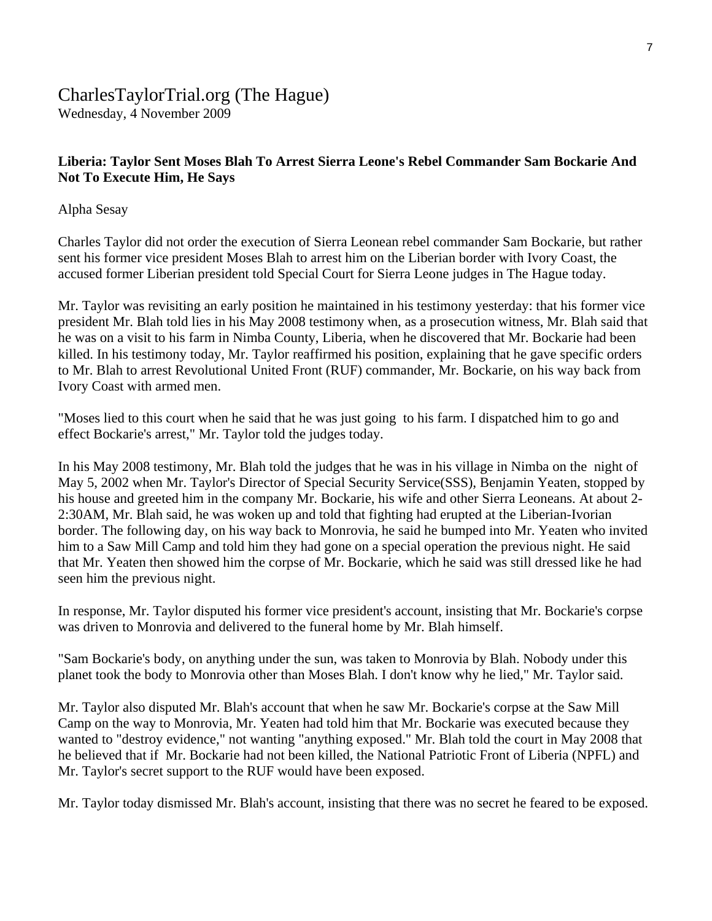# CharlesTaylorTrial.org (The Hague)

Wednesday, 4 November 2009

#### **Liberia: Taylor Sent Moses Blah To Arrest Sierra Leone's Rebel Commander Sam Bockarie And Not To Execute Him, He Says**

Alpha Sesay

Charles Taylor did not order the execution of Sierra Leonean rebel commander Sam Bockarie, but rather sent his former vice president Moses Blah to arrest him on the Liberian border with Ivory Coast, the accused former Liberian president told Special Court for Sierra Leone judges in The Hague today.

Mr. Taylor was revisiting an early position he maintained in his testimony yesterday: that his former vice president Mr. Blah told lies in his May 2008 testimony when, as a prosecution witness, Mr. Blah said that he was on a visit to his farm in Nimba County, Liberia, when he discovered that Mr. Bockarie had been killed. In his testimony today, Mr. Taylor reaffirmed his position, explaining that he gave specific orders to Mr. Blah to arrest Revolutional United Front (RUF) commander, Mr. Bockarie, on his way back from Ivory Coast with armed men.

"Moses lied to this court when he said that he was just going to his farm. I dispatched him to go and effect Bockarie's arrest," Mr. Taylor told the judges today.

In his May 2008 testimony, Mr. Blah told the judges that he was in his village in Nimba on the night of May 5, 2002 when Mr. Taylor's Director of Special Security Service(SSS), Benjamin Yeaten, stopped by his house and greeted him in the company Mr. Bockarie, his wife and other Sierra Leoneans. At about 2- 2:30AM, Mr. Blah said, he was woken up and told that fighting had erupted at the Liberian-Ivorian border. The following day, on his way back to Monrovia, he said he bumped into Mr. Yeaten who invited him to a Saw Mill Camp and told him they had gone on a special operation the previous night. He said that Mr. Yeaten then showed him the corpse of Mr. Bockarie, which he said was still dressed like he had seen him the previous night.

In response, Mr. Taylor disputed his former vice president's account, insisting that Mr. Bockarie's corpse was driven to Monrovia and delivered to the funeral home by Mr. Blah himself.

"Sam Bockarie's body, on anything under the sun, was taken to Monrovia by Blah. Nobody under this planet took the body to Monrovia other than Moses Blah. I don't know why he lied," Mr. Taylor said.

Mr. Taylor also disputed Mr. Blah's account that when he saw Mr. Bockarie's corpse at the Saw Mill Camp on the way to Monrovia, Mr. Yeaten had told him that Mr. Bockarie was executed because they wanted to "destroy evidence," not wanting "anything exposed." Mr. Blah told the court in May 2008 that he believed that if Mr. Bockarie had not been killed, the National Patriotic Front of Liberia (NPFL) and Mr. Taylor's secret support to the RUF would have been exposed.

Mr. Taylor today dismissed Mr. Blah's account, insisting that there was no secret he feared to be exposed.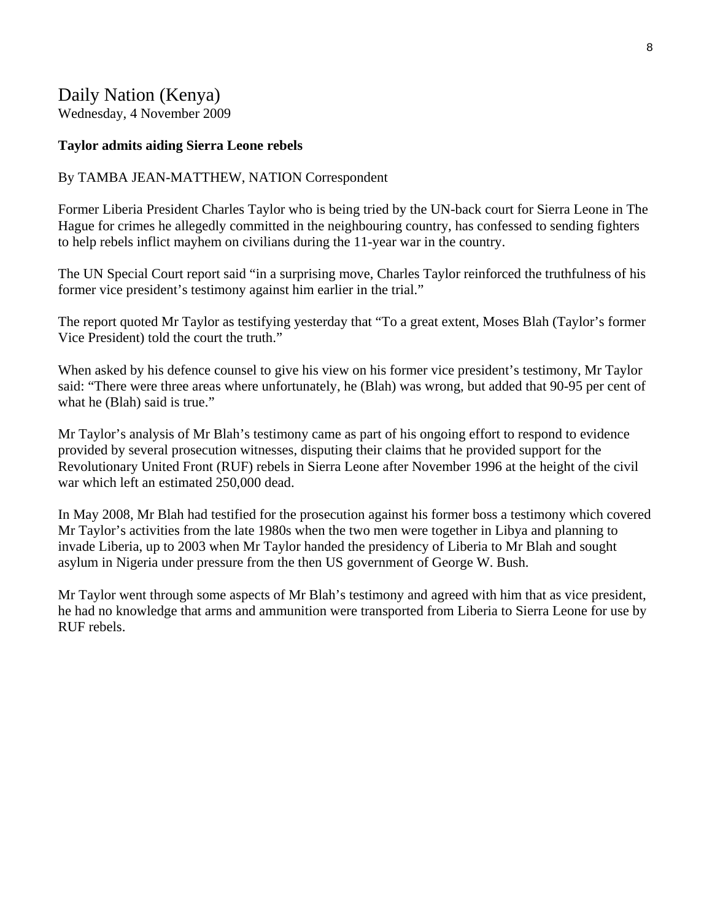# Daily Nation (Kenya)

Wednesday, 4 November 2009

#### **Taylor admits aiding Sierra Leone rebels**

#### By TAMBA JEAN-MATTHEW, NATION Correspondent

Former Liberia President Charles Taylor who is being tried by the UN-back court for Sierra Leone in The Hague for crimes he allegedly committed in the neighbouring country, has confessed to sending fighters to help rebels inflict mayhem on civilians during the 11-year war in the country.

The UN Special Court report said "in a surprising move, Charles Taylor reinforced the truthfulness of his former vice president's testimony against him earlier in the trial."

The report quoted Mr Taylor as testifying yesterday that "To a great extent, Moses Blah (Taylor's former Vice President) told the court the truth."

When asked by his defence counsel to give his view on his former vice president's testimony, Mr Taylor said: "There were three areas where unfortunately, he (Blah) was wrong, but added that 90-95 per cent of what he (Blah) said is true."

Mr Taylor's analysis of Mr Blah's testimony came as part of his ongoing effort to respond to evidence provided by several prosecution witnesses, disputing their claims that he provided support for the Revolutionary United Front (RUF) rebels in Sierra Leone after November 1996 at the height of the civil war which left an estimated 250,000 dead.

In May 2008, Mr Blah had testified for the prosecution against his former boss a testimony which covered Mr Taylor's activities from the late 1980s when the two men were together in Libya and planning to invade Liberia, up to 2003 when Mr Taylor handed the presidency of Liberia to Mr Blah and sought asylum in Nigeria under pressure from the then US government of George W. Bush.

Mr Taylor went through some aspects of Mr Blah's testimony and agreed with him that as vice president, he had no knowledge that arms and ammunition were transported from Liberia to Sierra Leone for use by RUF rebels.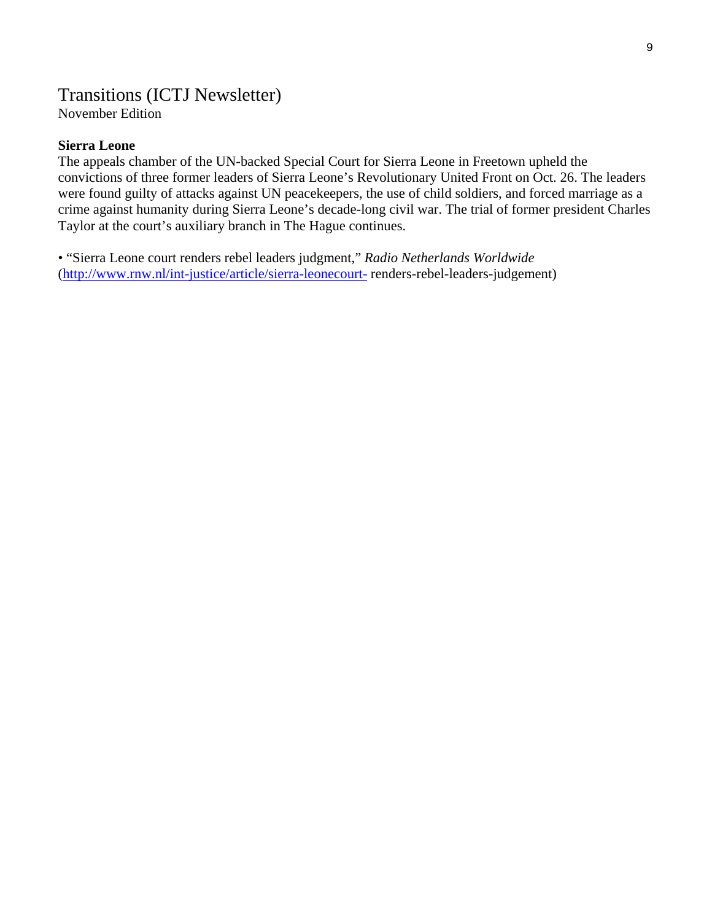#### Transitions (ICTJ Newsletter) November Edition

#### **Sierra Leone**

The appeals chamber of the UN-backed Special Court for Sierra Leone in Freetown upheld the convictions of three former leaders of Sierra Leone's Revolutionary United Front on Oct. 26. The leaders were found guilty of attacks against UN peacekeepers, the use of child soldiers, and forced marriage as a crime against humanity during Sierra Leone's decade-long civil war. The trial of former president Charles Taylor at the court's auxiliary branch in The Hague continues.

• "Sierra Leone court renders rebel leaders judgment," *Radio Netherlands Worldwide*  (<http://www.rnw.nl/int-justice/article/sierra-leonecourt-> renders-rebel-leaders-judgement)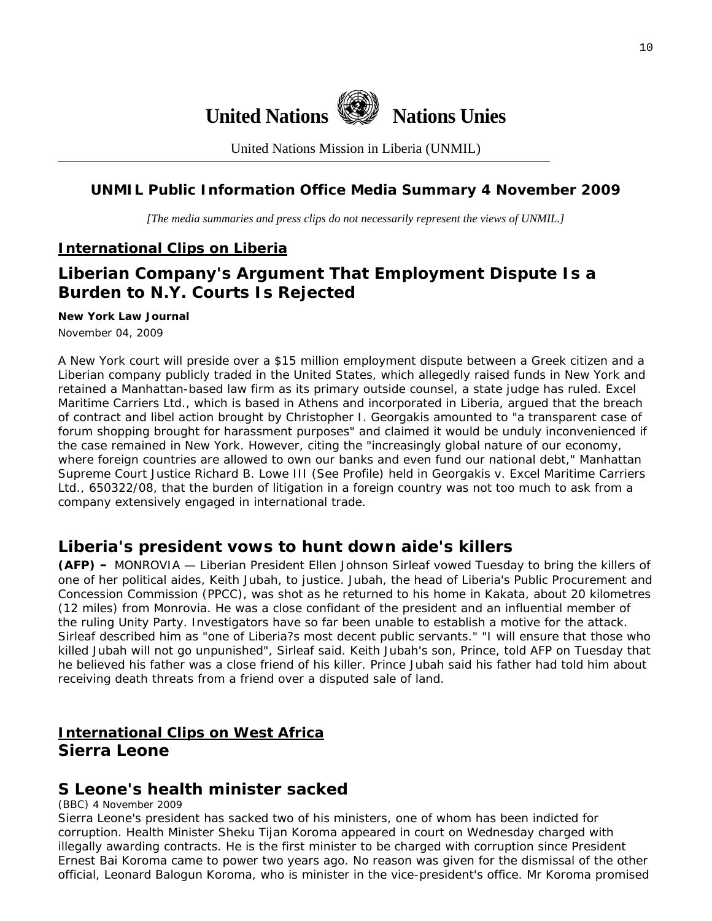

United Nations Mission in Liberia (UNMIL)

#### **UNMIL Public Information Office Media Summary 4 November 2009**

*[The media summaries and press clips do not necessarily represent the views of UNMIL.]* 

#### **International Clips on Liberia**

# **Liberian Company's Argument That Employment Dispute Is a Burden to N.Y. Courts Is Rejected**

#### **[New York Law Journal](http://www.nylj.com/)**

November 04, 2009

A New York court will preside over a \$15 million employment dispute between a Greek citizen and a Liberian company publicly traded in the United States, which allegedly raised funds in New York and retained a Manhattan-based law firm as its primary outside counsel, a state judge has ruled. [Excel](http://www.excelmaritime.com/)  [Maritime Carriers Ltd.,](http://www.excelmaritime.com/) which is based in Athens and incorporated in Liberia, argued that the breach of contract and libel action brought by Christopher I. Georgakis amounted to "a transparent case of forum shopping brought for harassment purposes" and claimed it would be unduly inconvenienced if the case remained in New York. However, citing the "increasingly global nature of our economy, where foreign countries are allowed to own our banks and even fund our national debt," Manhattan Supreme Court Justice Richard B. Lowe III ([See Profile](http://nycourts.law.com/cpnylj/judgeprofile.asp?JP=1438)) held in *[Georgakis v. Excel Maritime Carriers](http://nycourts.law.com/CourtDocumentViewer.asp?view=Document&docID=117441)  [Ltd.](http://nycourts.law.com/CourtDocumentViewer.asp?view=Document&docID=117441),* 650322/08, that the burden of litigation in a foreign country was not too much to ask from a company extensively engaged in international trade.

### **Liberia's president vows to hunt down aide's killers**

**(AFP) –** MONROVIA — Liberian President Ellen Johnson Sirleaf vowed Tuesday to bring the killers of one of her political aides, Keith Jubah, to justice. Jubah, the head of Liberia's Public Procurement and Concession Commission (PPCC), was shot as he returned to his home in Kakata, about 20 kilometres (12 miles) from Monrovia. He was a close confidant of the president and an influential member of the ruling Unity Party. Investigators have so far been unable to establish a motive for the attack. Sirleaf described him as "one of Liberia?s most decent public servants." "I will ensure that those who killed Jubah will not go unpunished", Sirleaf said. Keith Jubah's son, Prince, told AFP on Tuesday that he believed his father was a close friend of his killer. Prince Jubah said his father had told him about receiving death threats from a friend over a disputed sale of land.

# **International Clips on West Africa Sierra Leone**

### **S Leone's health minister sacked**

(BBC) 4 November 2009

Sierra Leone's president has sacked two of his ministers, one of whom has been indicted for corruption. Health Minister Sheku Tijan Koroma appeared in court on Wednesday charged with illegally awarding contracts. He is the first minister to be charged with corruption since President Ernest Bai Koroma came to power two years ago. No reason was given for the dismissal of the other official, Leonard Balogun Koroma, who is minister in the vice-president's office. Mr Koroma promised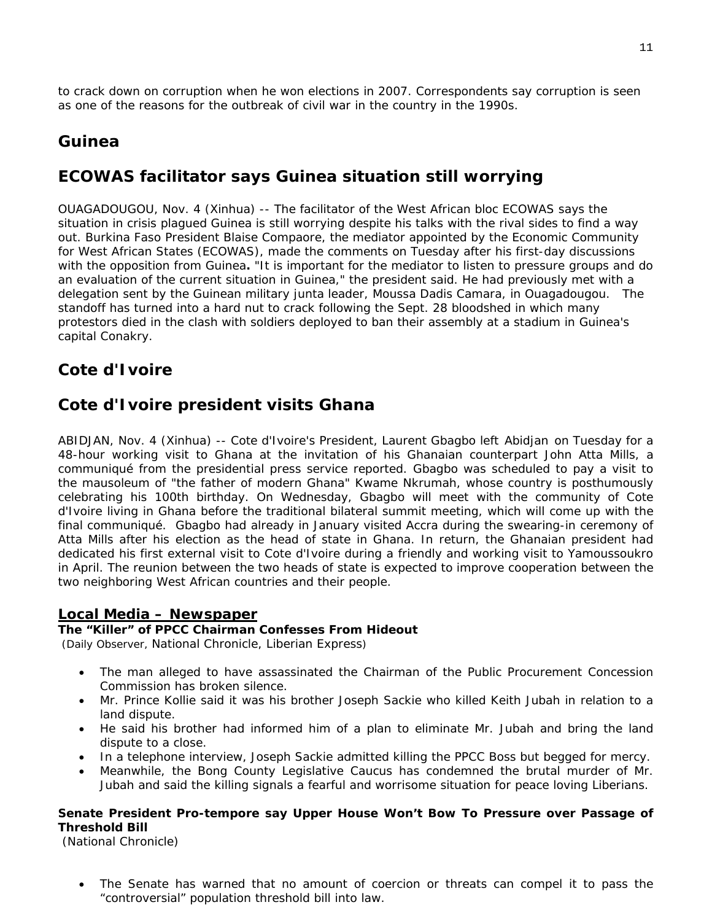to crack down on corruption when he won elections in 2007. Correspondents say corruption is seen as one of the reasons for the outbreak of civil war in the country in the 1990s.

### **Guinea**

# **ECOWAS facilitator says Guinea situation still worrying**

OUAGADOUGOU, Nov. 4 (Xinhua) -- The facilitator of the West African bloc ECOWAS says the situation in crisis plagued Guinea is still worrying despite his talks with the rival sides to find a way out. Burkina Faso President Blaise Compaore, the mediator appointed by the Economic Community for West African States (ECOWAS), made the comments on Tuesday after his first-day discussions with the opposition from Guinea**.** "It is important for the mediator to listen to pressure groups and do an evaluation of the current situation in Guinea," the president said. He had previously met with a delegation sent by the Guinean military junta leader, Moussa Dadis Camara, in Ouagadougou. The standoff has turned into a hard nut to crack following the Sept. 28 bloodshed in which many protestors died in the clash with soldiers deployed to ban their assembly at a stadium in Guinea's capital Conakry.

# **Cote d'Ivoire**

# **Cote d'Ivoire president visits Ghana**

ABIDJAN, Nov. 4 (Xinhua) -- Cote d'Ivoire's President, Laurent Gbagbo left Abidjan on Tuesday for a 48-hour working visit to Ghana at the invitation of his Ghanaian counterpart John Atta Mills, a communiqué from the presidential press service reported. Gbagbo was scheduled to pay a visit to the mausoleum of "the father of modern Ghana" Kwame Nkrumah, whose country is posthumously celebrating his 100th birthday. On Wednesday, Gbagbo will meet with the community of Cote d'Ivoire living in Ghana before the traditional bilateral summit meeting, which will come up with the final communiqué. Gbagbo had already in January visited Accra during the swearing-in ceremony of Atta Mills after his election as the head of state in Ghana. In return, the Ghanaian president had dedicated his first external visit to Cote d'Ivoire during a friendly and working visit to Yamoussoukro in April. The reunion between the two heads of state is expected to improve cooperation between the two neighboring West African countries and their people.

#### **Local Media – Newspaper**

#### **The "Killer" of PPCC Chairman Confesses From Hideout**

(Daily Observer, National Chronicle, Liberian Express)

- The man alleged to have assassinated the Chairman of the Public Procurement Concession Commission has broken silence.
- Mr. Prince Kollie said it was his brother Joseph Sackie who killed Keith Jubah in relation to a land dispute.
- He said his brother had informed him of a plan to eliminate Mr. Jubah and bring the land dispute to a close.
- In a telephone interview, Joseph Sackie admitted killing the PPCC Boss but begged for mercy.
- Meanwhile, the Bong County Legislative Caucus has condemned the brutal murder of Mr. Jubah and said the killing signals a fearful and worrisome situation for peace loving Liberians.

#### **Senate President Pro-tempore say Upper House Won't Bow To Pressure over Passage of Threshold Bill**

(National Chronicle)

The Senate has warned that no amount of coercion or threats can compel it to pass the "controversial" population threshold bill into law.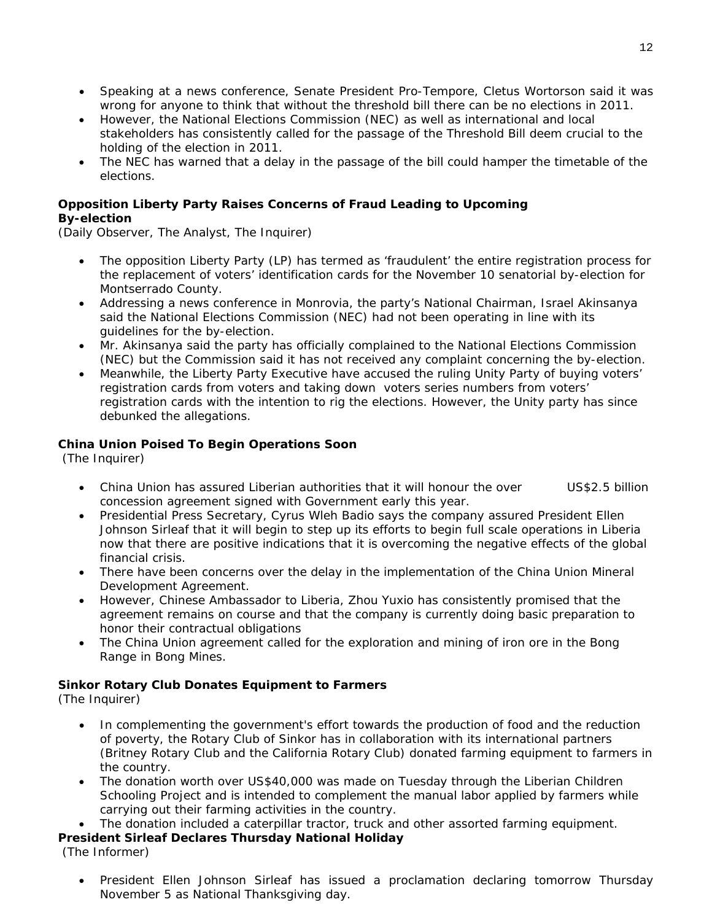- Speaking at a news conference, Senate President Pro-Tempore, Cletus Wortorson said it was wrong for anyone to think that without the threshold bill there can be no elections in 2011.
- However, the National Elections Commission (NEC) as well as international and local stakeholders has consistently called for the passage of the Threshold Bill deem crucial to the holding of the election in 2011.
- The NEC has warned that a delay in the passage of the bill could hamper the timetable of the elections.

#### **Opposition Liberty Party Raises Concerns of Fraud Leading to Upcoming By-election**

(Daily Observer, The Analyst, The Inquirer)

- The opposition Liberty Party (LP) has termed as 'fraudulent' the entire registration process for the replacement of voters' identification cards for the November 10 senatorial by-election for Montserrado County.
- Addressing a news conference in Monrovia, the party's National Chairman, Israel Akinsanya said the National Elections Commission (NEC) had not been operating in line with its guidelines for the by-election.
- Mr. Akinsanya said the party has officially complained to the National Elections Commission (NEC) but the Commission said it has not received any complaint concerning the by-election.
- Meanwhile, the Liberty Party Executive have accused the ruling Unity Party of buying voters' registration cards from voters and taking down voters series numbers from voters' registration cards with the intention to rig the elections. However, the Unity party has since debunked the allegations.

#### **China Union Poised To Begin Operations Soon**

(The Inquirer)

- China Union has assured Liberian authorities that it will honour the over US\$2.5 billion concession agreement signed with Government early this year.
- Presidential Press Secretary, Cyrus Wleh Badio says the company assured President Ellen Johnson Sirleaf that it will begin to step up its efforts to begin full scale operations in Liberia now that there are positive indications that it is overcoming the negative effects of the global financial crisis.
- There have been concerns over the delay in the implementation of the China Union Mineral Development Agreement.
- However, Chinese Ambassador to Liberia, Zhou Yuxio has consistently promised that the agreement remains on course and that the company is currently doing basic preparation to honor their contractual obligations
- The China Union agreement called for the exploration and mining of iron ore in the Bong Range in Bong Mines.

#### **Sinkor Rotary Club Donates Equipment to Farmers**

(The Inquirer)

- In complementing the government's effort towards the production of food and the reduction of poverty, the Rotary Club of Sinkor has in collaboration with its international partners (Britney Rotary Club and the California Rotary Club) donated farming equipment to farmers in the country.
- The donation worth over US\$40,000 was made on Tuesday through the Liberian Children Schooling Project and is intended to complement the manual labor applied by farmers while carrying out their farming activities in the country.
- The donation included a caterpillar tractor, truck and other assorted farming equipment.

#### **President Sirleaf Declares Thursday National Holiday**

(The Informer)

• President Ellen Johnson Sirleaf has issued a proclamation declaring tomorrow Thursday November 5 as National Thanksgiving day.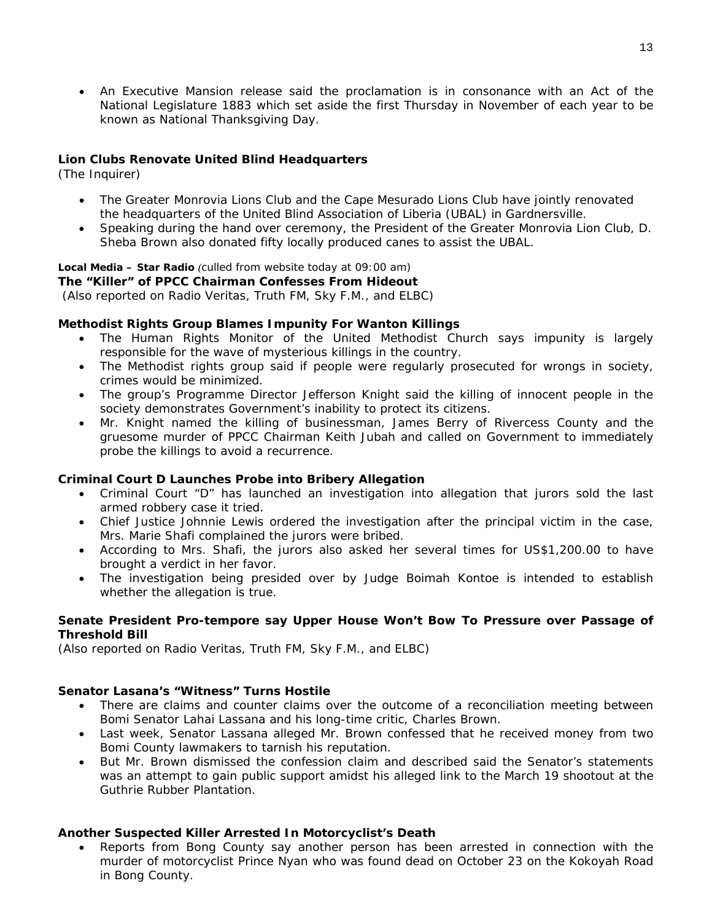• An Executive Mansion release said the proclamation is in consonance with an Act of the National Legislature 1883 which set aside the first Thursday in November of each year to be known as National Thanksgiving Day.

#### **Lion Clubs Renovate United Blind Headquarters**

(The Inquirer)

- The Greater Monrovia Lions Club and the Cape Mesurado Lions Club have jointly renovated the headquarters of the United Blind Association of Liberia (UBAL) in Gardnersville.
- Speaking during the hand over ceremony, the President of the Greater Monrovia Lion Club, D. Sheba Brown also donated fifty locally produced canes to assist the UBAL.

#### **Local Media – Star Radio** *(culled from website today at 09:00 am)*

**The "Killer" of PPCC Chairman Confesses From Hideout**   *(Also reported on Radio Veritas, Truth FM, Sky F.M., and ELBC)* 

#### **Methodist Rights Group Blames Impunity For Wanton Killings**

- The Human Rights Monitor of the United Methodist Church says impunity is largely responsible for the wave of mysterious killings in the country.
- The Methodist rights group said if people were regularly prosecuted for wrongs in society, crimes would be minimized.
- The group's Programme Director Jefferson Knight said the killing of innocent people in the society demonstrates Government's inability to protect its citizens.
- Mr. Knight named the killing of businessman, James Berry of Rivercess County and the gruesome murder of PPCC Chairman Keith Jubah and called on Government to immediately probe the killings to avoid a recurrence.

#### **Criminal Court D Launches Probe into Bribery Allegation**

- Criminal Court "D" has launched an investigation into allegation that jurors sold the last armed robbery case it tried.
- Chief Justice Johnnie Lewis ordered the investigation after the principal victim in the case, Mrs. Marie Shafi complained the jurors were bribed.
- According to Mrs. Shafi, the jurors also asked her several times for US\$1,200.00 to have brought a verdict in her favor.
- The investigation being presided over by Judge Boimah Kontoe is intended to establish whether the allegation is true.

#### **Senate President Pro-tempore say Upper House Won't Bow To Pressure over Passage of Threshold Bill**

*(Also reported on Radio Veritas, Truth FM, Sky F.M., and ELBC)* 

#### **Senator Lasana's "Witness" Turns Hostile**

- There are claims and counter claims over the outcome of a reconciliation meeting between Bomi Senator Lahai Lassana and his long-time critic, Charles Brown.
- Last week, Senator Lassana alleged Mr. Brown confessed that he received money from two Bomi County lawmakers to tarnish his reputation.
- But Mr. Brown dismissed the confession claim and described said the Senator's statements was an attempt to gain public support amidst his alleged link to the March 19 shootout at the Guthrie Rubber Plantation.

#### **Another Suspected Killer Arrested In Motorcyclist's Death**

• Reports from Bong County say another person has been arrested in connection with the murder of motorcyclist Prince Nyan who was found dead on October 23 on the Kokoyah Road in Bong County.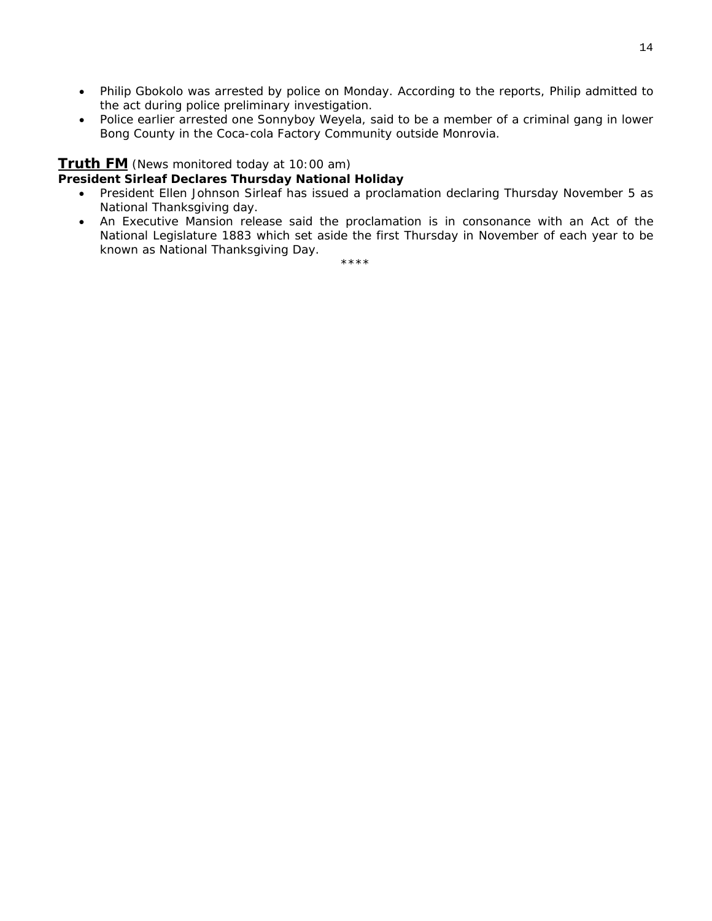- Philip Gbokolo was arrested by police on Monday. According to the reports, Philip admitted to the act during police preliminary investigation.
- Police earlier arrested one Sonnyboy Weyela, said to be a member of a criminal gang in lower Bong County in the Coca-cola Factory Community outside Monrovia.

#### **Truth FM** *(News monitored today at 10:00 am)*

#### **President Sirleaf Declares Thursday National Holiday**

- President Ellen Johnson Sirleaf has issued a proclamation declaring Thursday November 5 as National Thanksgiving day.
- An Executive Mansion release said the proclamation is in consonance with an Act of the National Legislature 1883 which set aside the first Thursday in November of each year to be known as National Thanksgiving Day.

\*\*\*\*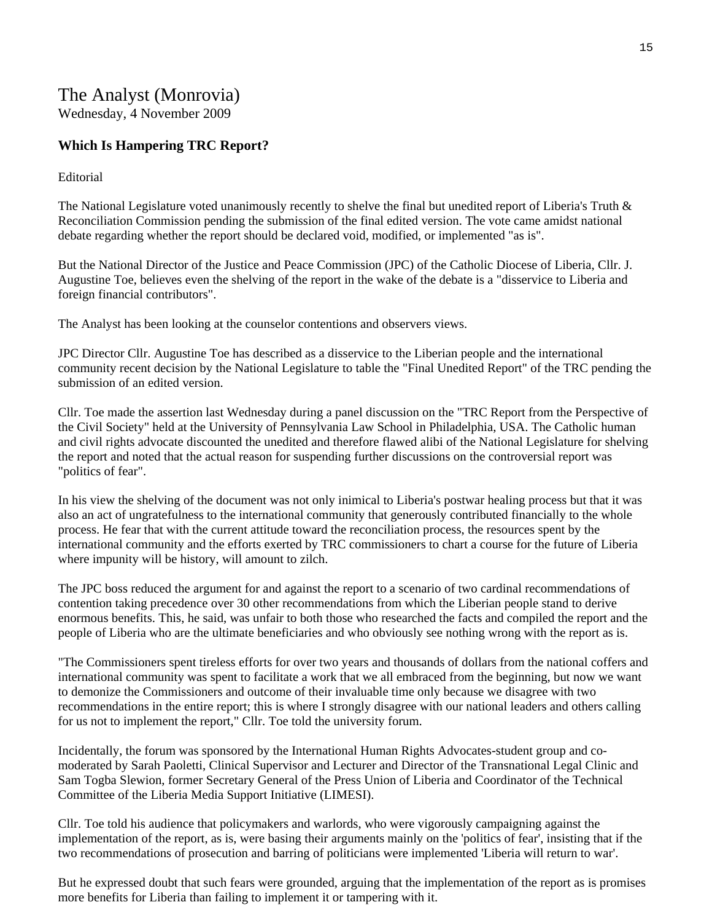# The Analyst (Monrovia)

Wednesday, 4 November 2009

#### **Which Is Hampering TRC Report?**

#### Editorial

The National Legislature voted unanimously recently to shelve the final but unedited report of Liberia's Truth & Reconciliation Commission pending the submission of the final edited version. The vote came amidst national debate regarding whether the report should be declared void, modified, or implemented "as is".

But the National Director of the Justice and Peace Commission (JPC) of the Catholic Diocese of Liberia, Cllr. J. Augustine Toe, believes even the shelving of the report in the wake of the debate is a "disservice to Liberia and foreign financial contributors".

The Analyst has been looking at the counselor contentions and observers views.

JPC Director Cllr. Augustine Toe has described as a disservice to the Liberian people and the international community recent decision by the National Legislature to table the "Final Unedited Report" of the TRC pending the submission of an edited version.

Cllr. Toe made the assertion last Wednesday during a panel discussion on the "TRC Report from the Perspective of the Civil Society" held at the University of Pennsylvania Law School in Philadelphia, USA. The Catholic human and civil rights advocate discounted the unedited and therefore flawed alibi of the National Legislature for shelving the report and noted that the actual reason for suspending further discussions on the controversial report was "politics of fear".

In his view the shelving of the document was not only inimical to Liberia's postwar healing process but that it was also an act of ungratefulness to the international community that generously contributed financially to the whole process. He fear that with the current attitude toward the reconciliation process, the resources spent by the international community and the efforts exerted by TRC commissioners to chart a course for the future of Liberia where impunity will be history, will amount to zilch.

The JPC boss reduced the argument for and against the report to a scenario of two cardinal recommendations of contention taking precedence over 30 other recommendations from which the Liberian people stand to derive enormous benefits. This, he said, was unfair to both those who researched the facts and compiled the report and the people of Liberia who are the ultimate beneficiaries and who obviously see nothing wrong with the report as is.

"The Commissioners spent tireless efforts for over two years and thousands of dollars from the national coffers and international community was spent to facilitate a work that we all embraced from the beginning, but now we want to demonize the Commissioners and outcome of their invaluable time only because we disagree with two recommendations in the entire report; this is where I strongly disagree with our national leaders and others calling for us not to implement the report," Cllr. Toe told the university forum.

Incidentally, the forum was sponsored by the International Human Rights Advocates-student group and comoderated by Sarah Paoletti, Clinical Supervisor and Lecturer and Director of the Transnational Legal Clinic and Sam Togba Slewion, former Secretary General of the Press Union of Liberia and Coordinator of the Technical Committee of the Liberia Media Support Initiative (LIMESI).

Cllr. Toe told his audience that policymakers and warlords, who were vigorously campaigning against the implementation of the report, as is, were basing their arguments mainly on the 'politics of fear', insisting that if the two recommendations of prosecution and barring of politicians were implemented 'Liberia will return to war'.

But he expressed doubt that such fears were grounded, arguing that the implementation of the report as is promises more benefits for Liberia than failing to implement it or tampering with it.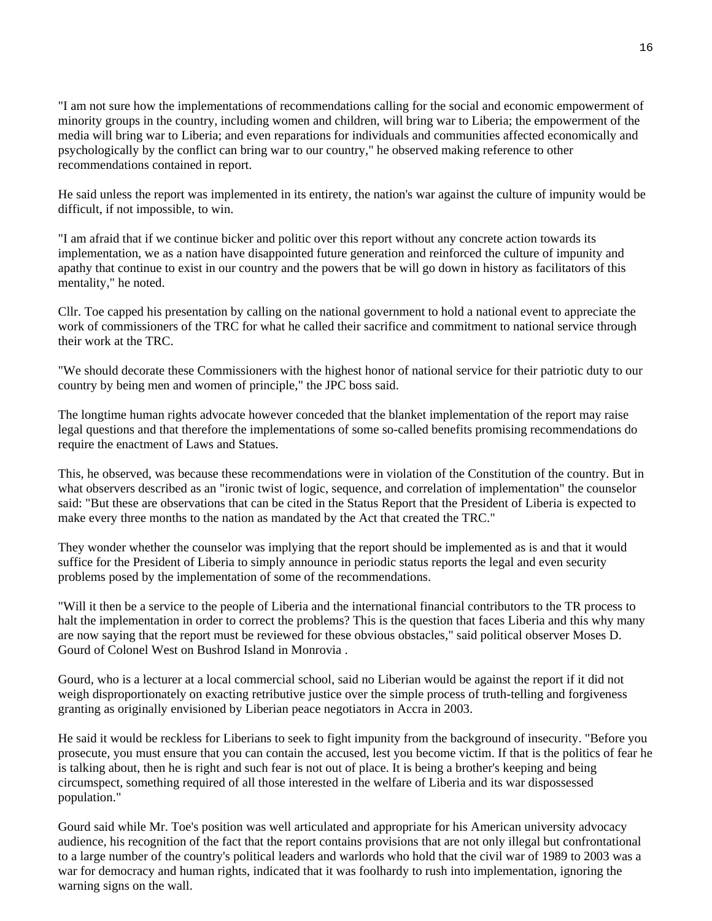"I am not sure how the implementations of recommendations calling for the social and economic empowerment of minority groups in the country, including women and children, will bring war to Liberia; the empowerment of the media will bring war to Liberia; and even reparations for individuals and communities affected economically and psychologically by the conflict can bring war to our country," he observed making reference to other recommendations contained in report.

He said unless the report was implemented in its entirety, the nation's war against the culture of impunity would be difficult, if not impossible, to win.

"I am afraid that if we continue bicker and politic over this report without any concrete action towards its implementation, we as a nation have disappointed future generation and reinforced the culture of impunity and apathy that continue to exist in our country and the powers that be will go down in history as facilitators of this mentality," he noted.

Cllr. Toe capped his presentation by calling on the national government to hold a national event to appreciate the work of commissioners of the TRC for what he called their sacrifice and commitment to national service through their work at the TRC.

"We should decorate these Commissioners with the highest honor of national service for their patriotic duty to our country by being men and women of principle," the JPC boss said.

The longtime human rights advocate however conceded that the blanket implementation of the report may raise legal questions and that therefore the implementations of some so-called benefits promising recommendations do require the enactment of Laws and Statues.

This, he observed, was because these recommendations were in violation of the Constitution of the country. But in what observers described as an "ironic twist of logic, sequence, and correlation of implementation" the counselor said: "But these are observations that can be cited in the Status Report that the President of Liberia is expected to make every three months to the nation as mandated by the Act that created the TRC."

They wonder whether the counselor was implying that the report should be implemented as is and that it would suffice for the President of Liberia to simply announce in periodic status reports the legal and even security problems posed by the implementation of some of the recommendations.

"Will it then be a service to the people of Liberia and the international financial contributors to the TR process to halt the implementation in order to correct the problems? This is the question that faces Liberia and this why many are now saying that the report must be reviewed for these obvious obstacles," said political observer Moses D. Gourd of Colonel West on Bushrod Island in Monrovia .

Gourd, who is a lecturer at a local commercial school, said no Liberian would be against the report if it did not weigh disproportionately on exacting retributive justice over the simple process of truth-telling and forgiveness granting as originally envisioned by Liberian peace negotiators in Accra in 2003.

He said it would be reckless for Liberians to seek to fight impunity from the background of insecurity. "Before you prosecute, you must ensure that you can contain the accused, lest you become victim. If that is the politics of fear he is talking about, then he is right and such fear is not out of place. It is being a brother's keeping and being circumspect, something required of all those interested in the welfare of Liberia and its war dispossessed population."

Gourd said while Mr. Toe's position was well articulated and appropriate for his American university advocacy audience, his recognition of the fact that the report contains provisions that are not only illegal but confrontational to a large number of the country's political leaders and warlords who hold that the civil war of 1989 to 2003 was a war for democracy and human rights, indicated that it was foolhardy to rush into implementation, ignoring the warning signs on the wall.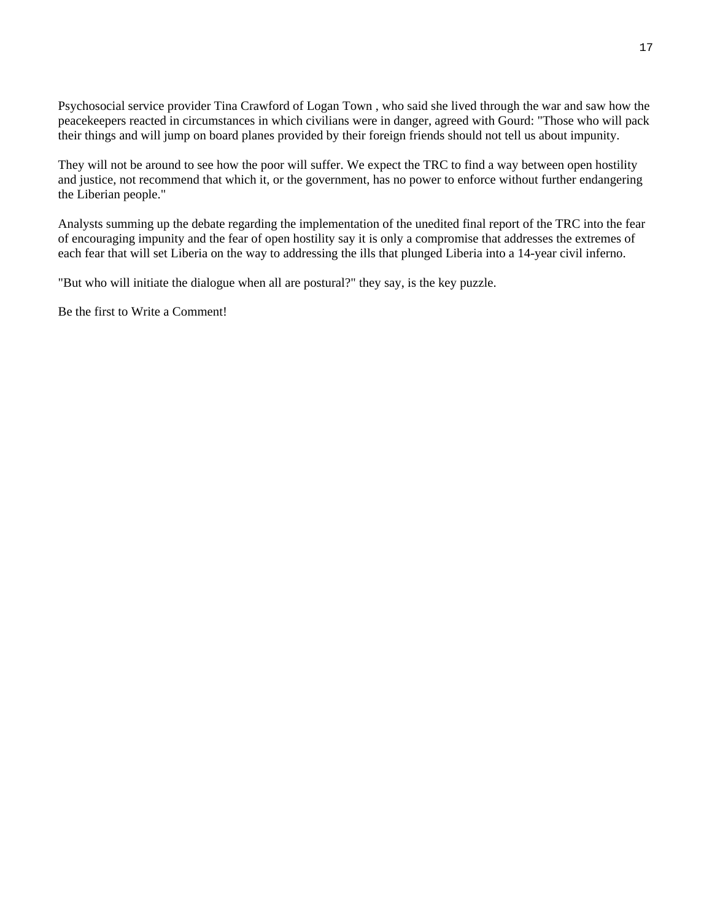Psychosocial service provider Tina Crawford of Logan Town , who said she lived through the war and saw how the peacekeepers reacted in circumstances in which civilians were in danger, agreed with Gourd: "Those who will pack their things and will jump on board planes provided by their foreign friends should not tell us about impunity.

They will not be around to see how the poor will suffer. We expect the TRC to find a way between open hostility and justice, not recommend that which it, or the government, has no power to enforce without further endangering the Liberian people."

Analysts summing up the debate regarding the implementation of the unedited final report of the TRC into the fear of encouraging impunity and the fear of open hostility say it is only a compromise that addresses the extremes of each fear that will set Liberia on the way to addressing the ills that plunged Liberia into a 14-year civil inferno.

"But who will initiate the dialogue when all are postural?" they say, is the key puzzle.

Be the first to Write a Comment!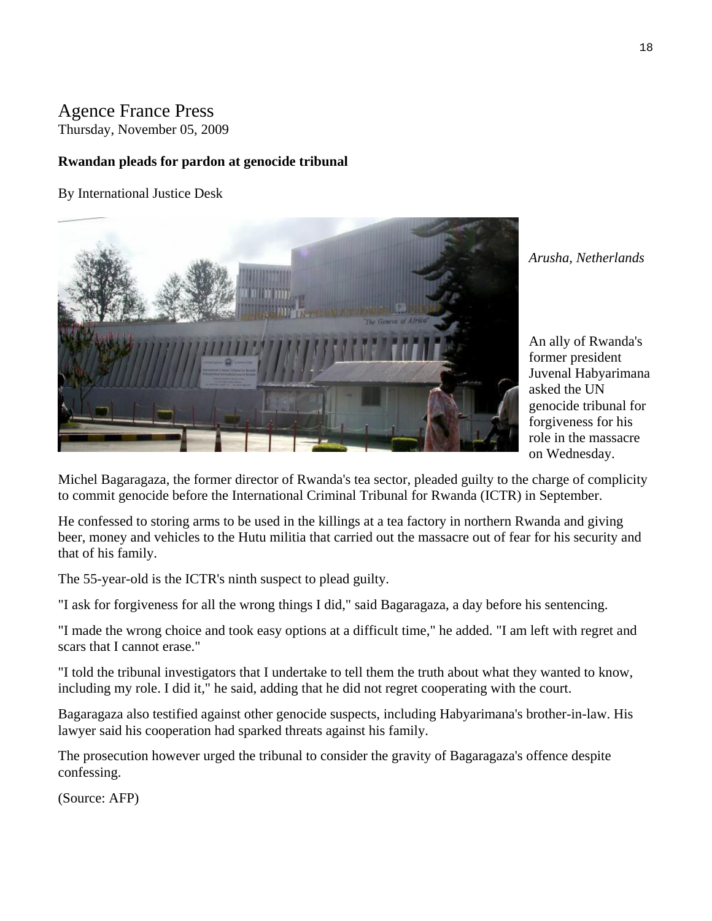# Agence France Press

Thursday, November 05, 2009

#### **Rwandan pleads for pardon at genocide tribunal**

By International Justice Desk



*Arusha, Netherlands* 

An ally of Rwanda's former president Juvenal Habyarimana asked the UN genocide tribunal for forgiveness for his role in the massacre on Wednesday.

Michel Bagaragaza, the former director of Rwanda's tea sector, pleaded guilty to the charge of complicity to commit genocide before the International Criminal Tribunal for Rwanda (ICTR) in September.

He confessed to storing arms to be used in the killings at a tea factory in northern Rwanda and giving beer, money and vehicles to the Hutu militia that carried out the massacre out of fear for his security and that of his family.

The 55-year-old is the ICTR's ninth suspect to plead guilty.

"I ask for forgiveness for all the wrong things I did," said Bagaragaza, a day before his sentencing.

"I made the wrong choice and took easy options at a difficult time," he added. "I am left with regret and scars that I cannot erase."

"I told the tribunal investigators that I undertake to tell them the truth about what they wanted to know, including my role. I did it," he said, adding that he did not regret cooperating with the court.

Bagaragaza also testified against other genocide suspects, including Habyarimana's brother-in-law. His lawyer said his cooperation had sparked threats against his family.

The prosecution however urged the tribunal to consider the gravity of Bagaragaza's offence despite confessing.

(Source: AFP)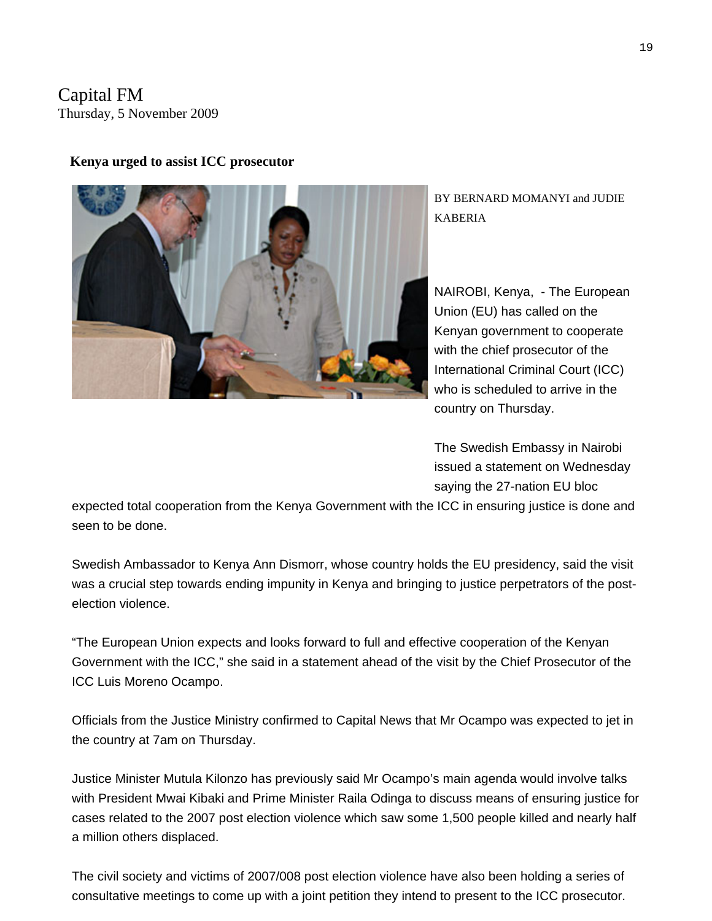### Capital FM Thursday, 5 November 2009



#### **Kenya urged to assist ICC prosecutor**

BY BERNARD MOMANYI and JUDIE KABERIA

NAIROBI, Kenya, - The European Union (EU) has called on the with the chief prosecutor of the International Criminal Court (ICC) who is scheduled to arrive in the country on Thursday. Kenyan government to cooperate

The Swedish Embassy in Nairobi issued a statement on Wednesday saying the 27-nation EU bloc

expected total cooperation from the Kenya Government with the ICC in ensuring justice is done and seen to be done.

Swedish Ambassador to Kenya Ann Dismorr, whose country holds the EU presidency, said the visit was a crucial step towards ending impunity in Kenya and bringing to justice perpetrators of the postelection violence.

"The European Union expects and looks forward to full and effective cooperation of the Kenyan Government with the ICC," she said in a statement ahead of the visit by the Chief Prosecutor of the ICC Luis Moreno Ocampo.

Officials from the Justice Ministry confirmed to Capital News that Mr Ocampo was expected to jet in the country at 7am on Thursday.

Justice Minister Mutula Kilonzo has previously said Mr Ocampo's main agenda would involve talks with President Mwai Kibaki and Prime Minister Raila Odinga to discuss means of ensuring justice for cases related to the 2007 post election violence which saw some 1,500 people killed and nearly half a million others displaced.

The civil society and victims of 2007/008 post election violence have also been holding a series of consultative meetings to come up with a joint petition they intend to present to the ICC prosecutor.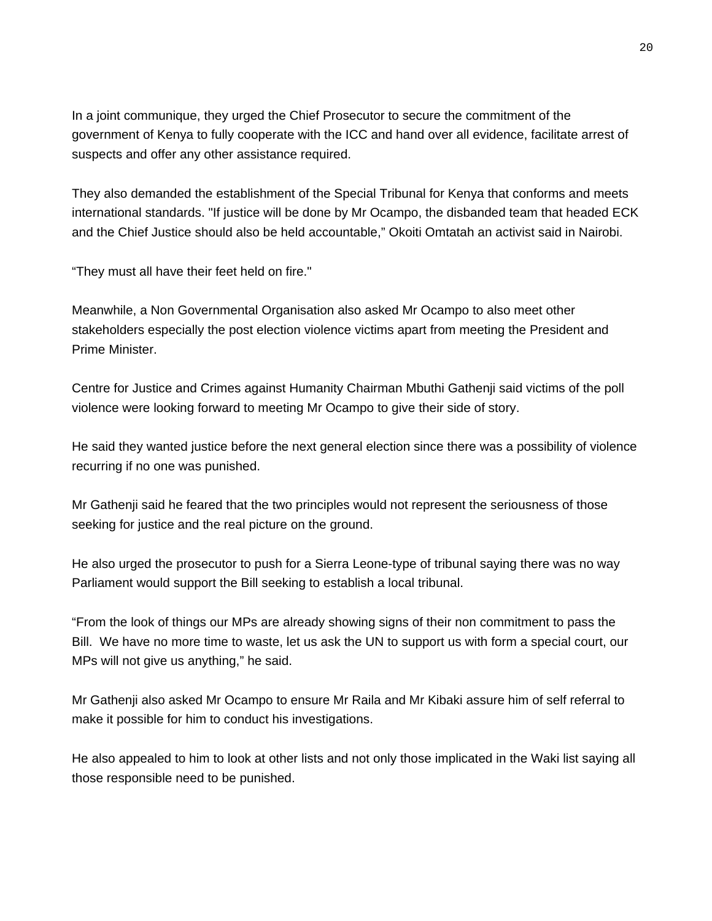In a joint communique, they urged the Chief Prosecutor to secure the commitment of the government of Kenya to fully cooperate with the ICC and hand over all evidence, facilitate arrest of suspects and offer any other assistance required.

They also demanded the establishment of the Special Tribunal for Kenya that conforms and meets international standards. "If justice will be done by Mr Ocampo, the disbanded team that headed ECK and the Chief Justice should also be held accountable," Okoiti Omtatah an activist said in Nairobi.

"They must all have their feet held on fire."

Meanwhile, a Non Governmental Organisation also asked Mr Ocampo to also meet other stakeholders especially the post election violence victims apart from meeting the President and Prime Minister.

Centre for Justice and Crimes against Humanity Chairman Mbuthi Gathenji said victims of the poll violence were looking forward to meeting Mr Ocampo to give their side of story.

He said they wanted justice before the next general election since there was a possibility of violence recurring if no one was punished.

Mr Gathenji said he feared that the two principles would not represent the seriousness of those seeking for justice and the real picture on the ground.

He also urged the prosecutor to push for a Sierra Leone-type of tribunal saying there was no way Parliament would support the Bill seeking to establish a local tribunal.

"From the look of things our MPs are already showing signs of their non commitment to pass the Bill. We have no more time to waste, let us ask the UN to support us with form a special court, our MPs will not give us anything," he said.

Mr Gathenji also asked Mr Ocampo to ensure Mr Raila and Mr Kibaki assure him of self referral to make it possible for him to conduct his investigations.

He also appealed to him to look at other lists and not only those implicated in the Waki list saying all those responsible need to be punished.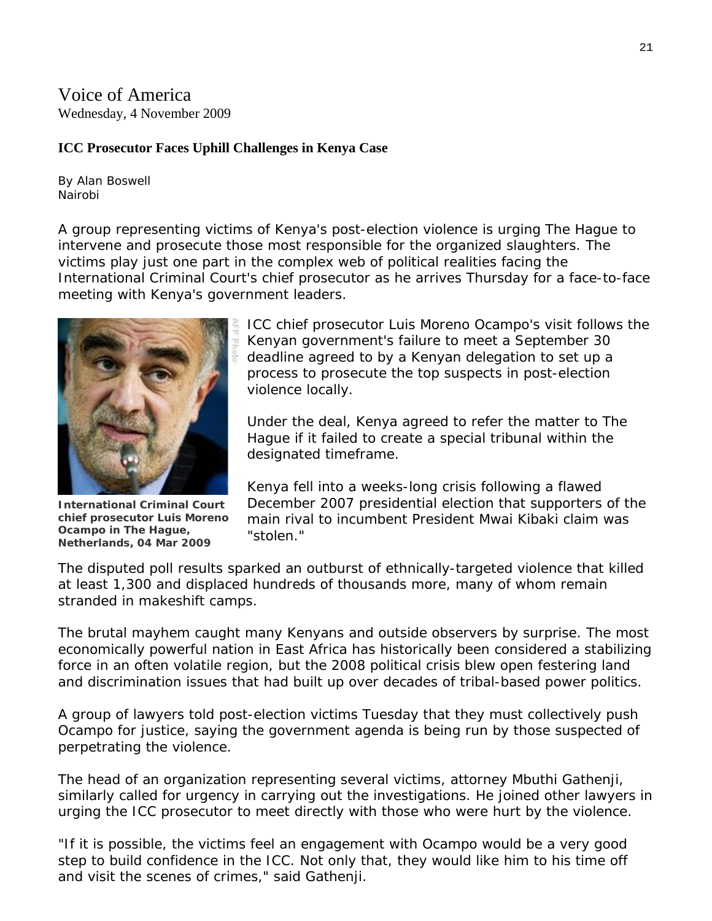Voice of America Wednesday, 4 November 2009

#### **ICC Prosecutor Faces Uphill Challenges in Kenya Case**

By Alan Boswell Nairobi

A group representing victims of Kenya's post-election violence is urging The Hague to intervene and prosecute those most responsible for the organized slaughters. The victims play just one part in the complex web of political realities facing the International Criminal Court's chief prosecutor as he arrives Thursday for a face-to-face meeting with Kenya's government leaders.



**International Criminal Court chief prosecutor Luis Moreno Ocampo in The Hague, Netherlands, 04 Mar 2009** 

ICC chief prosecutor Luis Moreno Ocampo's visit follows the Kenyan government's failure to meet a September 30 deadline agreed to by a Kenyan delegation to set up a process to prosecute the top suspects in post-election violence locally.

Under the deal, Kenya agreed to refer the matter to The Hague if it failed to create a special tribunal within the designated timeframe.

Kenya fell into a weeks-long crisis following a flawed December 2007 presidential election that supporters of the main rival to incumbent President Mwai Kibaki claim was "stolen."

The disputed poll results sparked an outburst of ethnically-targeted violence that killed at least 1,300 and displaced hundreds of thousands more, many of whom remain stranded in makeshift camps.

The brutal mayhem caught many Kenyans and outside observers by surprise. The most economically powerful nation in East Africa has historically been considered a stabilizing force in an often volatile region, but the 2008 political crisis blew open festering land and discrimination issues that had built up over decades of tribal-based power politics.

A group of lawyers told post-election victims Tuesday that they must collectively push Ocampo for justice, saying the government agenda is being run by those suspected of perpetrating the violence.

The head of an organization representing several victims, attorney Mbuthi Gathenji, similarly called for urgency in carrying out the investigations. He joined other lawyers in urging the ICC prosecutor to meet directly with those who were hurt by the violence.

"If it is possible, the victims feel an engagement with Ocampo would be a very good step to build confidence in the ICC. Not only that, they would like him to his time off and visit the scenes of crimes," said Gathenji.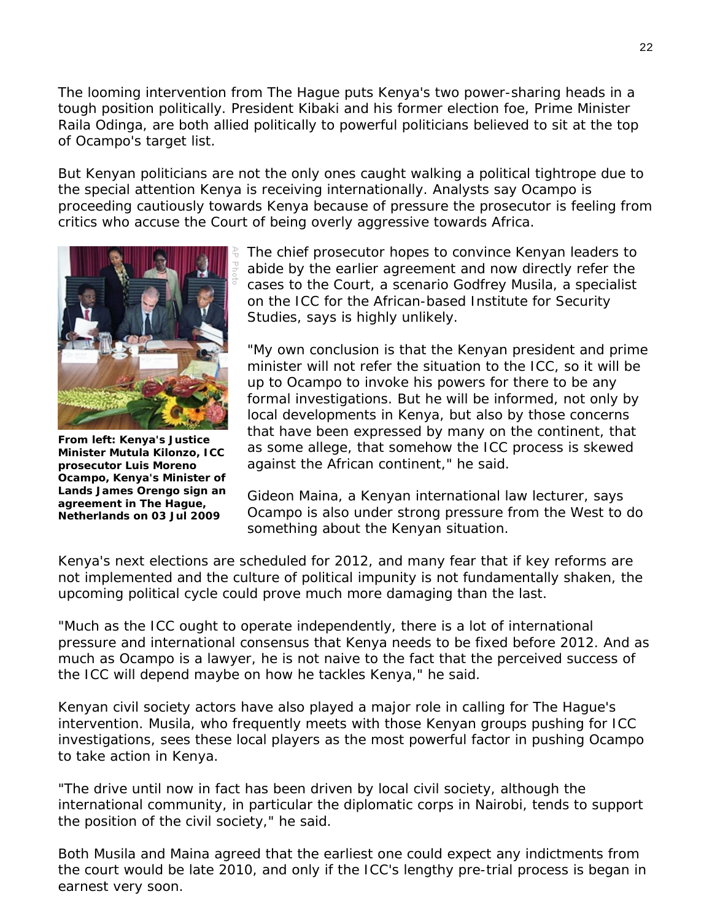The looming intervention from The Hague puts Kenya's two power-sharing heads in a tough position politically. President Kibaki and his former election foe, Prime Minister Raila Odinga, are both allied politically to powerful politicians believed to sit at the top of Ocampo's target list.

But Kenyan politicians are not the only ones caught walking a political tightrope due to the special attention Kenya is receiving internationally. Analysts say Ocampo is proceeding cautiously towards Kenya because of pressure the prosecutor is feeling from critics who accuse the Court of being overly aggressive towards Africa.



**From left: Kenya's Justice Minister Mutula Kilonzo, ICC prosecutor Luis Moreno Ocampo, Kenya's Minister of Lands James Orengo sign an agreement in The Hague, Netherlands on 03 Jul 2009** 

The chief prosecutor hopes to convince Kenyan leaders to abide by the earlier agreement and now directly refer the cases to the Court, a scenario Godfrey Musila, a specialist on the ICC for the African-based Institute for Security Studies, says is highly unlikely.

"My own conclusion is that the Kenyan president and prime minister will not refer the situation to the ICC, so it will be up to Ocampo to invoke his powers for there to be any formal investigations. But he will be informed, not only by local developments in Kenya, but also by those concerns that have been expressed by many on the continent, that as some allege, that somehow the ICC process is skewed against the African continent," he said.

Gideon Maina, a Kenyan international law lecturer, says Ocampo is also under strong pressure from the West to do something about the Kenyan situation.

Kenya's next elections are scheduled for 2012, and many fear that if key reforms are not implemented and the culture of political impunity is not fundamentally shaken, the upcoming political cycle could prove much more damaging than the last.

"Much as the ICC ought to operate independently, there is a lot of international pressure and international consensus that Kenya needs to be fixed before 2012. And as much as Ocampo is a lawyer, he is not naive to the fact that the perceived success of the ICC will depend maybe on how he tackles Kenya," he said.

Kenyan civil society actors have also played a major role in calling for The Hague's intervention. Musila, who frequently meets with those Kenyan groups pushing for ICC investigations, sees these local players as the most powerful factor in pushing Ocampo to take action in Kenya.

"The drive until now in fact has been driven by local civil society, although the international community, in particular the diplomatic corps in Nairobi, tends to support the position of the civil society," he said.

Both Musila and Maina agreed that the earliest one could expect any indictments from the court would be late 2010, and only if the ICC's lengthy pre-trial process is began in earnest very soon.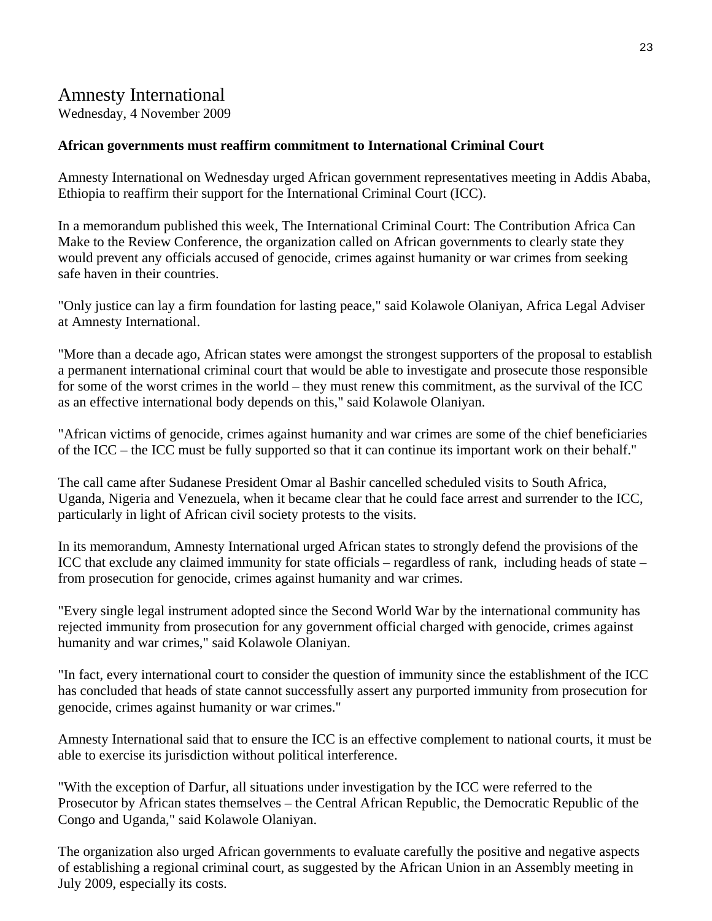# Amnesty International

Wednesday, 4 November 2009

#### **African governments must reaffirm commitment to International Criminal Court**

Amnesty International on Wednesday urged African government representatives meeting in Addis Ababa, Ethiopia to reaffirm their support for the International Criminal Court (ICC).

In a memorandum published this week, The International Criminal Court: The Contribution Africa Can Make to the Review Conference, the organization called on African governments to clearly state they would prevent any officials accused of genocide, crimes against humanity or war crimes from seeking safe haven in their countries.

"Only justice can lay a firm foundation for lasting peace," said Kolawole Olaniyan, Africa Legal Adviser at Amnesty International.

"More than a decade ago, African states were amongst the strongest supporters of the proposal to establish a permanent international criminal court that would be able to investigate and prosecute those responsible for some of the worst crimes in the world – they must renew this commitment, as the survival of the ICC as an effective international body depends on this," said Kolawole Olaniyan.

"African victims of genocide, crimes against humanity and war crimes are some of the chief beneficiaries of the ICC – the ICC must be fully supported so that it can continue its important work on their behalf."

The call came after Sudanese President Omar al Bashir cancelled scheduled visits to South Africa, Uganda, Nigeria and Venezuela, when it became clear that he could face arrest and surrender to the ICC, particularly in light of African civil society protests to the visits.

In its memorandum, Amnesty International urged African states to strongly defend the provisions of the ICC that exclude any claimed immunity for state officials – regardless of rank, including heads of state – from prosecution for genocide, crimes against humanity and war crimes.

"Every single legal instrument adopted since the Second World War by the international community has rejected immunity from prosecution for any government official charged with genocide, crimes against humanity and war crimes," said Kolawole Olaniyan.

"In fact, every international court to consider the question of immunity since the establishment of the ICC has concluded that heads of state cannot successfully assert any purported immunity from prosecution for genocide, crimes against humanity or war crimes."

Amnesty International said that to ensure the ICC is an effective complement to national courts, it must be able to exercise its jurisdiction without political interference.

"With the exception of Darfur, all situations under investigation by the ICC were referred to the Prosecutor by African states themselves – the Central African Republic, the Democratic Republic of the Congo and Uganda," said Kolawole Olaniyan.

The organization also urged African governments to evaluate carefully the positive and negative aspects of establishing a regional criminal court, as suggested by the African Union in an Assembly meeting in July 2009, especially its costs.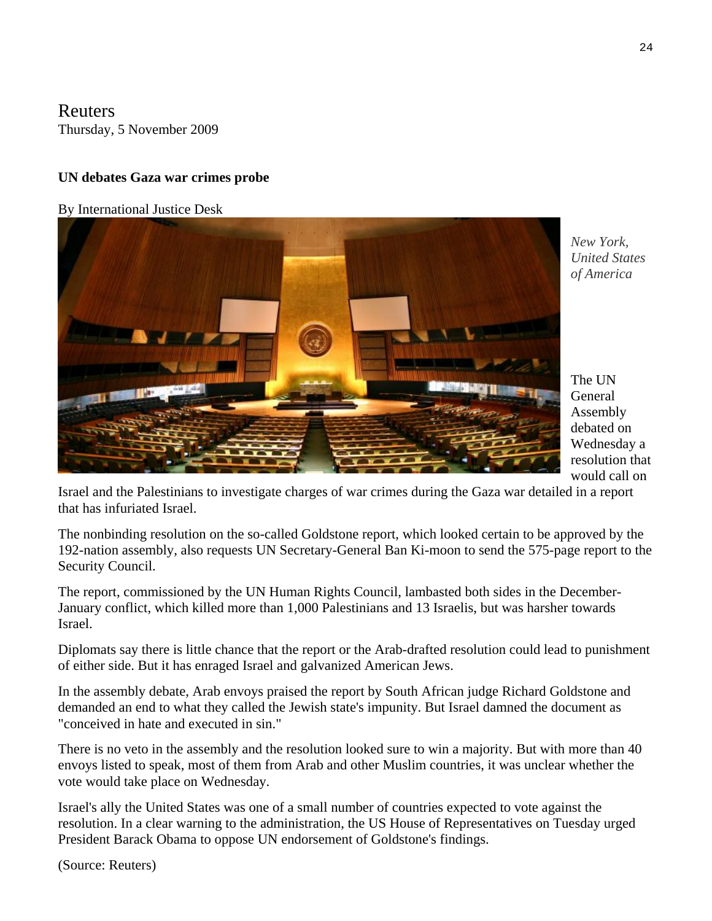### **Reuters** Thursday, 5 November 2009

# **UN debates Gaza war crimes probe**

#### By International Justice Desk



*New York, United States of America* 

The UN General Assembly debated on Wednesday a resolution that would call on

Israel and the Palestinians to investigate charges of war crimes during the Gaza war detailed in a report that has infuriated Israel.

The nonbinding resolution on the so-called Goldstone report, which looked certain to be approved by the 192-nation assembly, also requests UN Secretary-General Ban Ki-moon to send the 575-page report to the Security Council.

The report, commissioned by the UN Human Rights Council, lambasted both sides in the December-January conflict, which killed more than 1,000 Palestinians and 13 Israelis, but was harsher towards Israel.

Diplomats say there is little chance that the report or the Arab-drafted resolution could lead to punishment of either side. But it has enraged Israel and galvanized American Jews.

In the assembly debate, Arab envoys praised the report by South African judge Richard Goldstone and demanded an end to what they called the Jewish state's impunity. But Israel damned the document as "conceived in hate and executed in sin."

There is no veto in the assembly and the resolution looked sure to win a majority. But with more than 40 envoys listed to speak, most of them from Arab and other Muslim countries, it was unclear whether the vote would take place on Wednesday.

Israel's ally the United States was one of a small number of countries expected to vote against the resolution. In a clear warning to the administration, the US House of Representatives on Tuesday urged President Barack Obama to oppose UN endorsement of Goldstone's findings.

(Source: Reuters)